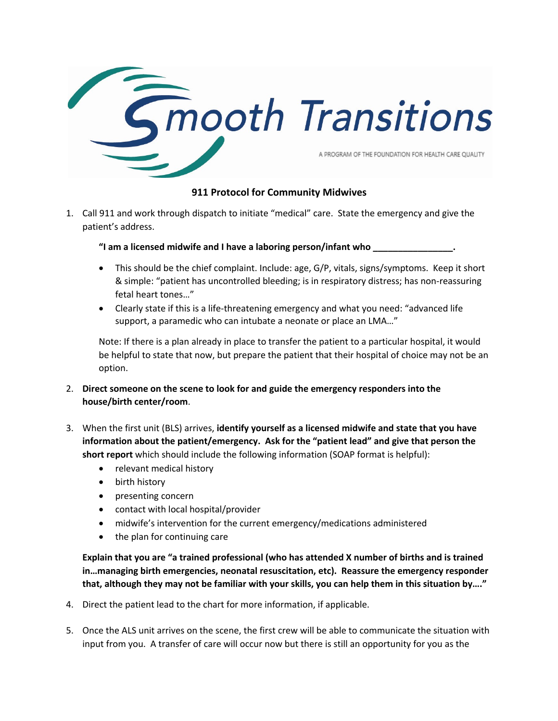

## **911 Protocol for Community Midwives**

1. Call 911 and work through dispatch to initiate "medical" care. State the emergency and give the patient's address.

"I am a licensed midwife and I have a laboring person/infant who

- This should be the chief complaint. Include: age, G/P, vitals, signs/symptoms. Keep it short & simple: "patient has uncontrolled bleeding; is in respiratory distress; has non-reassuring fetal heart tones…"
- Clearly state if this is a life-threatening emergency and what you need: "advanced life support, a paramedic who can intubate a neonate or place an LMA…"

Note: If there is a plan already in place to transfer the patient to a particular hospital, it would be helpful to state that now, but prepare the patient that their hospital of choice may not be an option.

- 2. **Direct someone on the scene to look for and guide the emergency responders into the house/birth center/room**.
- 3. When the first unit (BLS) arrives, **identify yourself as a licensed midwife and state that you have information about the patient/emergency. Ask for the "patient lead" and give that person the short report** which should include the following information (SOAP format is helpful):
	- relevant medical history
	- birth history
	- presenting concern
	- contact with local hospital/provider
	- midwife's intervention for the current emergency/medications administered
	- the plan for continuing care

**Explain that you are "a trained professional (who has attended X number of births and is trained in…managing birth emergencies, neonatal resuscitation, etc). Reassure the emergency responder that, although they may not be familiar with your skills, you can help them in this situation by…."**

- 4. Direct the patient lead to the chart for more information, if applicable.
- 5. Once the ALS unit arrives on the scene, the first crew will be able to communicate the situation with input from you. A transfer of care will occur now but there is still an opportunity for you as the